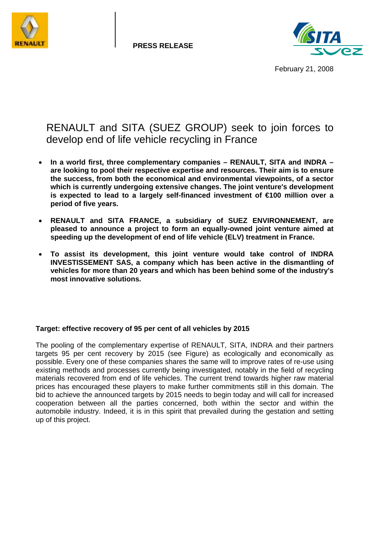

**PRESS RELEASE** 



February 21, 2008

# RENAULT and SITA (SUEZ GROUP) seek to join forces to develop end of life vehicle recycling in France

- **In a world first, three complementary companies RENAULT, SITA and INDRA are looking to pool their respective expertise and resources. Their aim is to ensure the success, from both the economical and environmental viewpoints, of a sector which is currently undergoing extensive changes. The joint venture's development is expected to lead to a largely self-financed investment of €100 million over a period of five years.**
- **RENAULT and SITA FRANCE, a subsidiary of SUEZ ENVIRONNEMENT, are pleased to announce a project to form an equally-owned joint venture aimed at speeding up the development of end of life vehicle (ELV) treatment in France.**
- **To assist its development, this joint venture would take control of INDRA INVESTISSEMENT SAS, a company which has been active in the dismantling of vehicles for more than 20 years and which has been behind some of the industry's most innovative solutions.**

# **Target: effective recovery of 95 per cent of all vehicles by 2015**

The pooling of the complementary expertise of RENAULT, SITA, INDRA and their partners targets 95 per cent recovery by 2015 (see Figure) as ecologically and economically as possible. Every one of these companies shares the same will to improve rates of re-use using existing methods and processes currently being investigated, notably in the field of recycling materials recovered from end of life vehicles. The current trend towards higher raw material prices has encouraged these players to make further commitments still in this domain. The bid to achieve the announced targets by 2015 needs to begin today and will call for increased cooperation between all the parties concerned, both within the sector and within the automobile industry. Indeed, it is in this spirit that prevailed during the gestation and setting up of this project.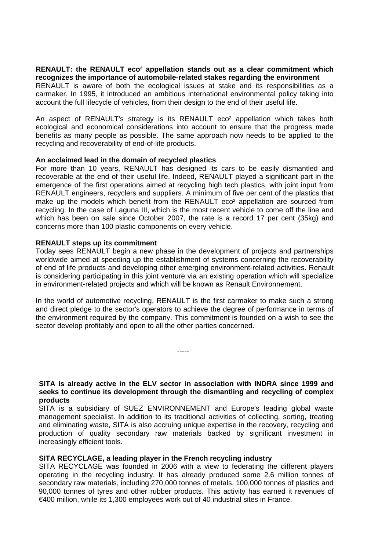#### **RENAULT: the RENAULT eco² appellation stands out as a clear commitment which recognizes the importance of automobile-related stakes regarding the environment**

RENAULT is aware of both the ecological issues at stake and its responsibilities as a carmaker. In 1995, it introduced an ambitious international environmental policy taking into account the full lifecycle of vehicles, from their design to the end of their useful life.

An aspect of RENAULT's strategy is its RENAULT eco² appellation which takes both ecological and economical considerations into account to ensure that the progress made benefits as many people as possible. The same approach now needs to be applied to the recycling and recoverability of end-of-life products.

## **An acclaimed lead in the domain of recycled plastics**

For more than 10 years, RENAULT has designed its cars to be easily dismantled and recoverable at the end of their useful life. Indeed, RENAULT played a significant part in the emergence of the first operations aimed at recycling high tech plastics, with joint input from RENAULT engineers, recyclers and suppliers. A minimum of five per cent of the plastics that make up the models which benefit from the RENAULT eco<sup>2</sup> appellation are sourced from recycling. In the case of Laguna III, which is the most recent vehicle to come off the line and which has been on sale since October 2007, the rate is a record 17 per cent (35kg) and concerns more than 100 plastic components on every vehicle.

## **RENAULT steps up its commitment**

Today sees RENAULT begin a new phase in the development of projects and partnerships worldwide aimed at speeding up the establishment of systems concerning the recoverability of end of life products and developing other emerging environment-related activities. Renault is considering participating in this joint venture via an existing operation which will specialize in environment-related projects and which will be known as Renault Environnement.

In the world of automotive recycling, RENAULT is the first carmaker to make such a strong and direct pledge to the sector's operators to achieve the degree of performance in terms of the environment required by the company. This commitment is founded on a wish to see the sector develop profitably and open to all the other parties concerned.

-----

**SITA is already active in the ELV sector in association with INDRA since 1999 and seeks to continue its development through the dismantling and recycling of complex products**

SITA is a subsidiary of SUEZ ENVIRONNEMENT and Europe's leading global waste management specialist. In addition to its traditional activities of collecting, sorting, treating and eliminating waste, SITA is also accruing unique expertise in the recovery, recycling and production of quality secondary raw materials backed by significant investment in increasingly efficient tools.

#### **SITA RECYCLAGE, a leading player in the French recycling industry**

SITA RECYCLAGE was founded in 2006 with a view to federating the different players operating in the recycling industry. It has already produced some 2.6 million tonnes of secondary raw materials, including 270,000 tonnes of metals, 100,000 tonnes of plastics and 90,000 tonnes of tyres and other rubber products. This activity has earned it revenues of €400 million, while its 1,300 employees work out of 40 industrial sites in France.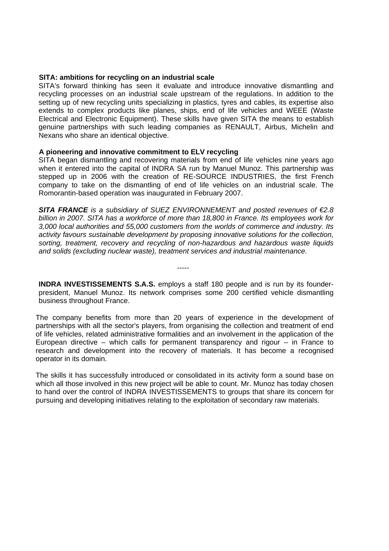#### **SITA: ambitions for recycling on an industrial scale**

SITA's forward thinking has seen it evaluate and introduce innovative dismantling and recycling processes on an industrial scale upstream of the regulations. In addition to the setting up of new recycling units specializing in plastics, tyres and cables, its expertise also extends to complex products like planes, ships, end of life vehicles and WEEE (Waste Electrical and Electronic Equipment). These skills have given SITA the means to establish genuine partnerships with such leading companies as RENAULT, Airbus, Michelin and Nexans who share an identical objective.

## **A pioneering and innovative commitment to ELV recycling**

SITA began dismantling and recovering materials from end of life vehicles nine years ago when it entered into the capital of INDRA SA run by Manuel Munoz. This partnership was stepped up in 2006 with the creation of RE-SOURCE INDUSTRIES, the first French company to take on the dismantling of end of life vehicles on an industrial scale. The Romorantin-based operation was inaugurated in February 2007.

*SITA FRANCE is a subsidiary of SUEZ ENVIRONNEMENT and posted revenues of €2.8 billion in 2007. SITA has a workforce of more than 18,800 in France. Its employees work for 3,000 local authorities and 55,000 customers from the worlds of commerce and industry. Its activity favours sustainable development by proposing innovative solutions for the collection, sorting, treatment, recovery and recycling of non-hazardous and hazardous waste liquids and solids (excluding nuclear waste), treatment services and industrial maintenance.* 

**INDRA INVESTISSEMENTS S.A.S.** employs a staff 180 people and is run by its founderpresident, Manuel Munoz. Its network comprises some 200 certified vehicle dismantling business throughout France.

-----

The company benefits from more than 20 years of experience in the development of partnerships with all the sector's players, from organising the collection and treatment of end of life vehicles, related administrative formalities and an involvement in the application of the European directive – which calls for permanent transparency and rigour – in France to research and development into the recovery of materials. It has become a recognised operator in its domain.

The skills it has successfully introduced or consolidated in its activity form a sound base on which all those involved in this new project will be able to count. Mr. Munoz has today chosen to hand over the control of INDRA INVESTISSEMENTS to groups that share its concern for pursuing and developing initiatives relating to the exploitation of secondary raw materials.